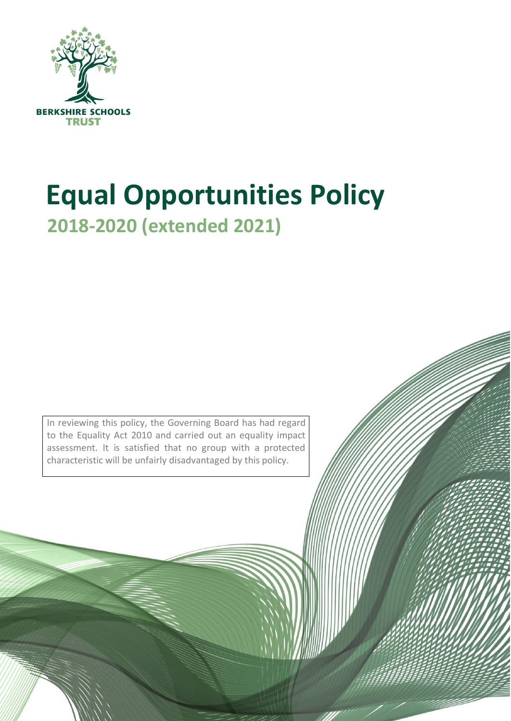

# **Equal Opportunities Policy 2018-2020 (extended 2021)**

In reviewing this policy, the Governing Board has had regard to the Equality Act 2010 and carried out an equality impact assessment. It is satisfied that no group with a protected characteristic will be unfairly disadvantaged by this policy.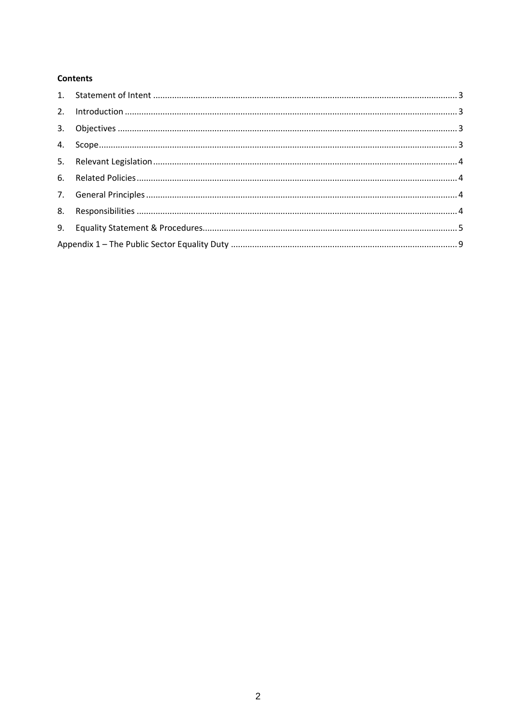#### **Contents**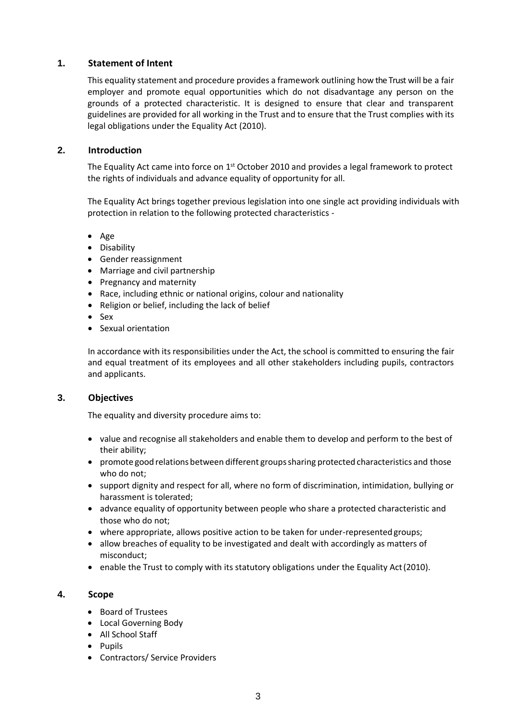## <span id="page-2-0"></span>**1. Statement of Intent**

This equality statement and procedure provides a framework outlining how the Trust will be a fair employer and promote equal opportunities which do not disadvantage any person on the grounds of a protected characteristic. It is designed to ensure that clear and transparent guidelines are provided for all working in the Trust and to ensure that the Trust complies with its legal obligations under the Equality Act (2010).

#### <span id="page-2-1"></span>**2. Introduction**

The Equality Act came into force on  $1<sup>st</sup>$  October 2010 and provides a legal framework to protect the rights of individuals and advance equality of opportunity for all.

The Equality Act brings together previous legislation into one single act providing individuals with protection in relation to the following protected characteristics -

- Age
- Disability
- Gender reassignment
- Marriage and civil partnership
- Pregnancy and maternity
- Race, including ethnic or national origins, colour and nationality
- Religion or belief, including the lack of belief
- Sex
- Sexual orientation

In accordance with its responsibilities under the Act, the school is committed to ensuring the fair and equal treatment of its employees and all other stakeholders including pupils, contractors and applicants.

#### <span id="page-2-2"></span>**3. Objectives**

The equality and diversity procedure aims to:

- value and recognise all stakeholders and enable them to develop and perform to the best of their ability;
- promote good relations between different groups sharing protected characteristics and those who do not;
- support dignity and respect for all, where no form of discrimination, intimidation, bullying or harassment is tolerated;
- advance equality of opportunity between people who share a protected characteristic and those who do not;
- where appropriate, allows positive action to be taken for under-representedgroups;
- allow breaches of equality to be investigated and dealt with accordingly as matters of misconduct;
- enable the Trust to comply with its statutory obligations under the Equality Act(2010).

#### <span id="page-2-3"></span>**4. Scope**

- Board of Trustees
- Local Governing Body
- All School Staff
- Pupils
- Contractors/ Service Providers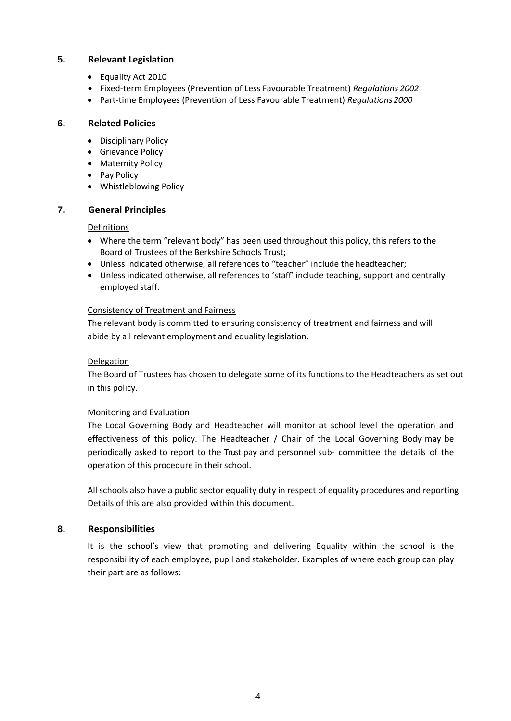## <span id="page-3-0"></span>**5. Relevant Legislation**

- Equality Act 2010
- Fixed-term Employees (Prevention of Less Favourable Treatment) *Regulations 2002*
- Part-time Employees (Prevention of Less Favourable Treatment) *Regulations2000*

## <span id="page-3-1"></span>**6. Related Policies**

- Disciplinary Policy
- Grievance Policy
- Maternity Policy
- Pay Policy
- Whistleblowing Policy

## <span id="page-3-2"></span>**7. General Principles**

## Definitions

- Where the term "relevant body" has been used throughout this policy, this refers to the Board of Trustees of the Berkshire Schools Trust;
- Unless indicated otherwise, all references to "teacher" include the headteacher;
- Unless indicated otherwise, all references to 'staff' include teaching, support and centrally employed staff.

## Consistency of Treatment and Fairness

The relevant body is committed to ensuring consistency of treatment and fairness and will abide by all relevant employment and equality legislation.

## Delegation

The Board of Trustees has chosen to delegate some of its functions to the Headteachers as set out in this policy.

## Monitoring and Evaluation

The Local Governing Body and Headteacher will monitor at school level the operation and effectiveness of this policy. The Headteacher / Chair of the Local Governing Body may be periodically asked to report to the Trust pay and personnel sub- committee the details of the operation of this procedure in their school.

All schools also have a public sector equality duty in respect of equality procedures and reporting. Details of this are also provided within this document.

## <span id="page-3-3"></span>**8. Responsibilities**

It is the school's view that promoting and delivering Equality within the school is the responsibility of each employee, pupil and stakeholder. Examples of where each group can play their part are as follows: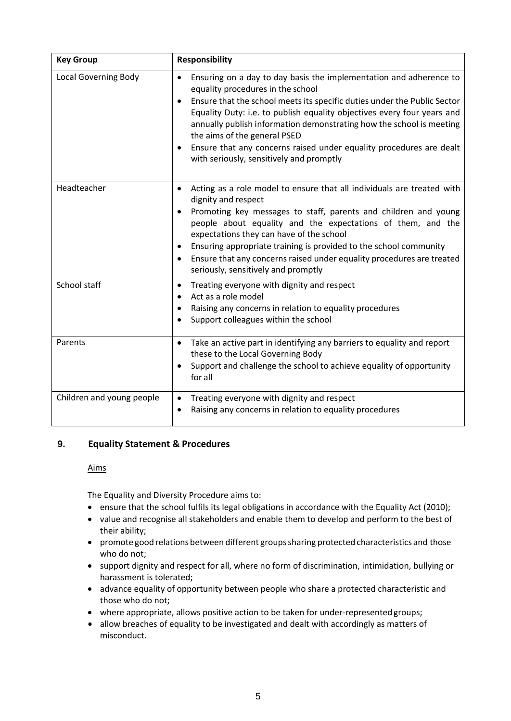| <b>Key Group</b>            | <b>Responsibility</b>                                                                                                                                                                                                                                                                                                                                                                                                                                                                                               |  |  |
|-----------------------------|---------------------------------------------------------------------------------------------------------------------------------------------------------------------------------------------------------------------------------------------------------------------------------------------------------------------------------------------------------------------------------------------------------------------------------------------------------------------------------------------------------------------|--|--|
| <b>Local Governing Body</b> | Ensuring on a day to day basis the implementation and adherence to<br>$\bullet$<br>equality procedures in the school<br>Ensure that the school meets its specific duties under the Public Sector<br>$\bullet$<br>Equality Duty: i.e. to publish equality objectives every four years and<br>annually publish information demonstrating how the school is meeting<br>the aims of the general PSED<br>Ensure that any concerns raised under equality procedures are dealt<br>with seriously, sensitively and promptly |  |  |
| Headteacher                 | Acting as a role model to ensure that all individuals are treated with<br>$\bullet$<br>dignity and respect<br>Promoting key messages to staff, parents and children and young<br>٠<br>people about equality and the expectations of them, and the<br>expectations they can have of the school<br>Ensuring appropriate training is provided to the school community<br>٠<br>Ensure that any concerns raised under equality procedures are treated<br>٠<br>seriously, sensitively and promptly                        |  |  |
| School staff                | Treating everyone with dignity and respect<br>$\bullet$<br>Act as a role model<br>Raising any concerns in relation to equality procedures<br>٠<br>Support colleagues within the school                                                                                                                                                                                                                                                                                                                              |  |  |
| Parents                     | Take an active part in identifying any barriers to equality and report<br>$\bullet$<br>these to the Local Governing Body<br>Support and challenge the school to achieve equality of opportunity<br>for all                                                                                                                                                                                                                                                                                                          |  |  |
| Children and young people   | Treating everyone with dignity and respect<br>$\bullet$<br>Raising any concerns in relation to equality procedures                                                                                                                                                                                                                                                                                                                                                                                                  |  |  |

## <span id="page-4-0"></span>**9. Equality Statement & Procedures**

## Aims

The Equality and Diversity Procedure aims to:

- ensure that the school fulfils its legal obligations in accordance with the Equality Act (2010);
- value and recognise all stakeholders and enable them to develop and perform to the best of their ability;
- promote good relations between different groupssharing protected characteristics and those who do not;
- support dignity and respect for all, where no form of discrimination, intimidation, bullying or harassment is tolerated;
- advance equality of opportunity between people who share a protected characteristic and those who do not;
- where appropriate, allows positive action to be taken for under-representedgroups;
- allow breaches of equality to be investigated and dealt with accordingly as matters of misconduct.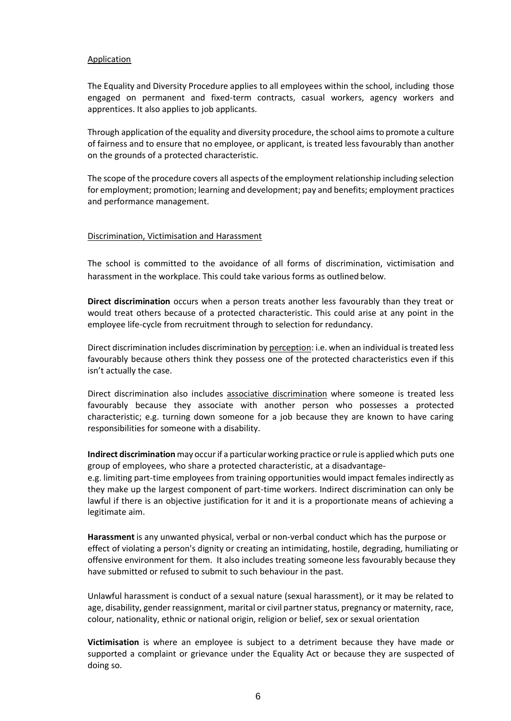#### Application

The Equality and Diversity Procedure applies to all employees within the school, including those engaged on permanent and fixed-term contracts, casual workers, agency workers and apprentices. It also applies to job applicants.

Through application of the equality and diversity procedure, the school aims to promote a culture of fairness and to ensure that no employee, or applicant, is treated less favourably than another on the grounds of a protected characteristic.

The scope of the procedure covers all aspects of the employment relationship including selection for employment; promotion; learning and development; pay and benefits; employment practices and performance management.

#### Discrimination, Victimisation and Harassment

The school is committed to the avoidance of all forms of discrimination, victimisation and harassment in the workplace. This could take various forms as outlined below.

**Direct discrimination** occurs when a person treats another less favourably than they treat or would treat others because of a protected characteristic. This could arise at any point in the employee life-cycle from recruitment through to selection for redundancy.

Direct discrimination includes discrimination by perception: i.e. when an individual is treated less favourably because others think they possess one of the protected characteristics even if this isn't actually the case.

Direct discrimination also includes associative discrimination where someone is treated less favourably because they associate with another person who possesses a protected characteristic; e.g. turning down someone for a job because they are known to have caring responsibilities for someone with a disability.

**Indirect discrimination**may occurif a particularworking practice orrule is applied which puts one group of employees, who share a protected characteristic, at a disadvantage-

e.g. limiting part-time employees from training opportunities would impact females indirectly as they make up the largest component of part-time workers. Indirect discrimination can only be lawful if there is an objective justification for it and it is a proportionate means of achieving a legitimate aim.

**Harassment** is any unwanted physical, verbal or non-verbal conduct which has the purpose or effect of violating a person's dignity or creating an intimidating, hostile, degrading, humiliating or offensive environment for them. It also includes treating someone less favourably because they have submitted or refused to submit to such behaviour in the past.

Unlawful harassment is conduct of a sexual nature (sexual harassment), or it may be related to age, disability, gender reassignment, marital or civil partner status, pregnancy or maternity, race, colour, nationality, ethnic or national origin, religion or belief, sex or sexual orientation

**Victimisation** is where an employee is subject to a detriment because they have made or supported a complaint or grievance under the Equality Act or because they are suspected of doing so.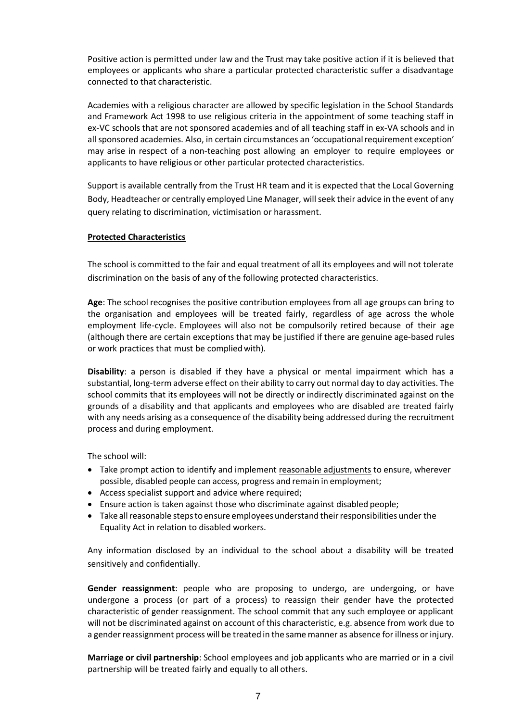Positive action is permitted under law and the Trust may take positive action if it is believed that employees or applicants who share a particular protected characteristic suffer a disadvantage connected to that characteristic.

Academies with a religious character are allowed by specific legislation in the School Standards and Framework Act 1998 to use religious criteria in the appointment of some teaching staff in ex-VC schools that are not sponsored academies and of all teaching staff in ex-VA schools and in all sponsored academies. Also, in certain circumstances an 'occupationalrequirement exception' may arise in respect of a non-teaching post allowing an employer to require employees or applicants to have religious or other particular protected characteristics.

Support is available centrally from the Trust HR team and it is expected that the Local Governing Body, Headteacher or centrally employed Line Manager, will seek their advice in the event of any query relating to discrimination, victimisation or harassment.

## **Protected Characteristics**

The school is committed to the fair and equal treatment of all its employees and will not tolerate discrimination on the basis of any of the following protected characteristics.

**Age**: The school recognises the positive contribution employees from all age groups can bring to the organisation and employees will be treated fairly, regardless of age across the whole employment life-cycle. Employees will also not be compulsorily retired because of their age (although there are certain exceptions that may be justified if there are genuine age-based rules or work practices that must be compliedwith).

**Disability**: a person is disabled if they have a physical or mental impairment which has a substantial, long-term adverse effect on their ability to carry out normal day to day activities. The school commits that its employees will not be directly or indirectly discriminated against on the grounds of a disability and that applicants and employees who are disabled are treated fairly with any needs arising as a consequence of the disability being addressed during the recruitment process and during employment.

The school will:

- Take prompt action to identify and implement reasonable adjustments to ensure, wherever possible, disabled people can access, progress and remain in employment;
- Access specialist support and advice where required;
- Ensure action is taken against those who discriminate against disabled people;
- Take all reasonable steps to ensure employees understand their responsibilities under the Equality Act in relation to disabled workers.

Any information disclosed by an individual to the school about a disability will be treated sensitively and confidentially.

**Gender reassignment**: people who are proposing to undergo, are undergoing, or have undergone a process (or part of a process) to reassign their gender have the protected characteristic of gender reassignment. The school commit that any such employee or applicant will not be discriminated against on account of this characteristic, e.g. absence from work due to a gender reassignment process will be treated in the same manner as absence for illness orinjury.

**Marriage or civil partnership**: School employees and job applicants who are married or in a civil partnership will be treated fairly and equally to all others.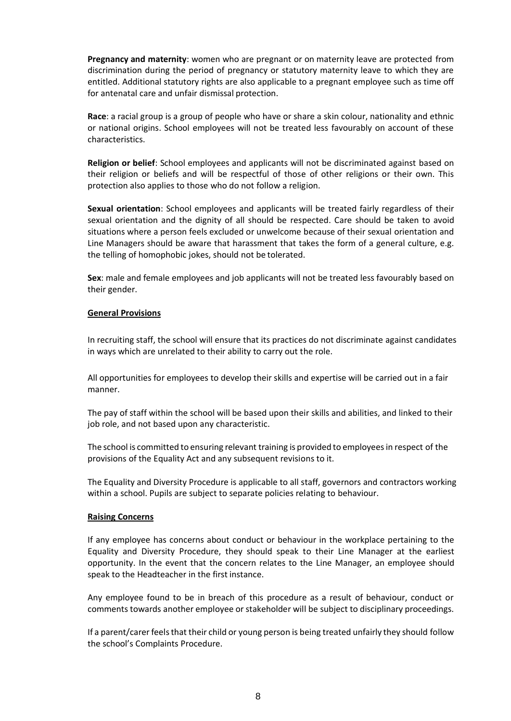**Pregnancy and maternity**: women who are pregnant or on maternity leave are protected from discrimination during the period of pregnancy or statutory maternity leave to which they are entitled. Additional statutory rights are also applicable to a pregnant employee such as time off for antenatal care and unfair dismissal protection.

**Race**: a racial group is a group of people who have or share a skin colour, nationality and ethnic or national origins. School employees will not be treated less favourably on account of these characteristics.

**Religion or belief**: School employees and applicants will not be discriminated against based on their religion or beliefs and will be respectful of those of other religions or their own. This protection also applies to those who do not follow a religion.

**Sexual orientation**: School employees and applicants will be treated fairly regardless of their sexual orientation and the dignity of all should be respected. Care should be taken to avoid situations where a person feels excluded or unwelcome because of their sexual orientation and Line Managers should be aware that harassment that takes the form of a general culture, e.g. the telling of homophobic jokes, should not be tolerated.

**Sex**: male and female employees and job applicants will not be treated less favourably based on their gender.

#### **General Provisions**

In recruiting staff, the school will ensure that its practices do not discriminate against candidates in ways which are unrelated to their ability to carry out the role.

All opportunities for employees to develop their skills and expertise will be carried out in a fair manner.

The pay of staff within the school will be based upon their skills and abilities, and linked to their job role, and not based upon any characteristic.

The school is committed to ensuring relevant training is provided to employees in respect of the provisions of the Equality Act and any subsequent revisions to it.

The Equality and Diversity Procedure is applicable to all staff, governors and contractors working within a school. Pupils are subject to separate policies relating to behaviour.

#### **Raising Concerns**

If any employee has concerns about conduct or behaviour in the workplace pertaining to the Equality and Diversity Procedure, they should speak to their Line Manager at the earliest opportunity. In the event that the concern relates to the Line Manager, an employee should speak to the Headteacher in the first instance.

Any employee found to be in breach of this procedure as a result of behaviour, conduct or comments towards another employee or stakeholder will be subject to disciplinary proceedings.

If a parent/carer feelsthat their child or young person is being treated unfairly they should follow the school's Complaints Procedure.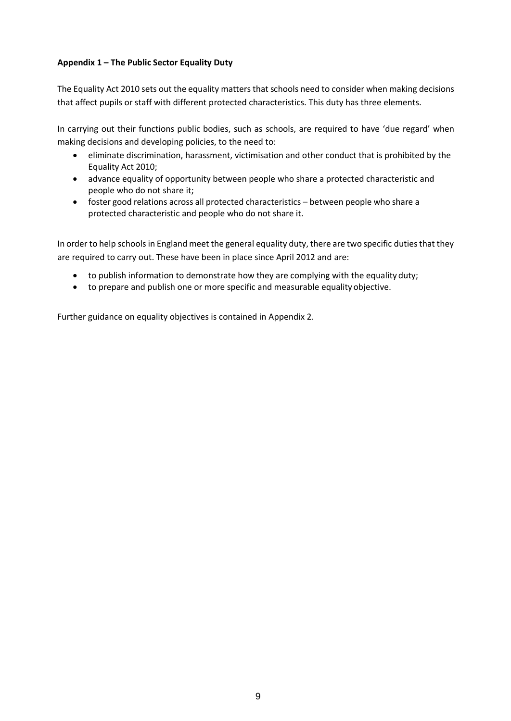## <span id="page-8-0"></span>**Appendix 1 – The Public Sector Equality Duty**

The Equality Act 2010 sets out the equality matters that schools need to consider when making decisions that affect pupils or staff with different protected characteristics. This duty has three elements.

In carrying out their functions public bodies, such as schools, are required to have 'due regard' when making decisions and developing policies, to the need to:

- eliminate discrimination, harassment, victimisation and other conduct that is prohibited by the Equality Act 2010;
- advance equality of opportunity between people who share a protected characteristic and people who do not share it;
- foster good relations across all protected characteristics between people who share a protected characteristic and people who do not share it.

In order to help schools in England meet the general equality duty, there are two specific duties that they are required to carry out. These have been in place since April 2012 and are:

- to publish information to demonstrate how they are complying with the equality duty;
- to prepare and publish one or more specific and measurable equality objective.

Further guidance on equality objectives is contained in Appendix 2.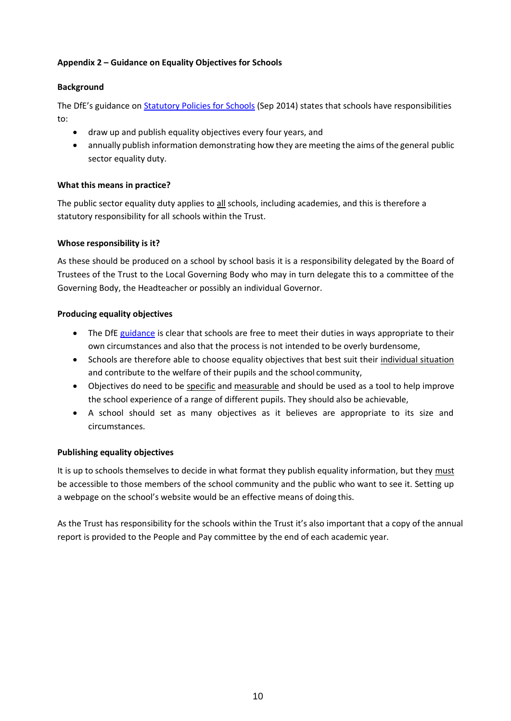## **Appendix 2 – Guidance on Equality Objectives for Schools**

## **Background**

The DfE's guidance on **[Statutory Policies for Schools](https://www.gov.uk/government/uploads/system/uploads/attachment_data/file/357068/statutory_schools_policies_Sept_14_FINAL.pdf)** (Sep 2014) states that schools have responsibilities to:

- draw up and publish equality objectives every four years, and
- annually publish information demonstrating how they are meeting the aims of the general public sector equality duty.

## **What this means in practice?**

The public sector equality duty applies to all schools, including academies, and this is therefore a statutory responsibility for all schools within the Trust.

## **Whose responsibility is it?**

As these should be produced on a school by school basis it is a responsibility delegated by the Board of Trustees of the Trust to the Local Governing Body who may in turn delegate this to a committee of the Governing Body, the Headteacher or possibly an individual Governor.

## **Producing equality objectives**

- The DfE [guidance](https://www.gov.uk/government/uploads/system/uploads/attachment_data/file/315587/Equality_Act_Advice_Final.pdf) is clear that schools are free to meet their duties in ways appropriate to their own circumstances and also that the process is not intended to be overly burdensome,
- Schools are therefore able to choose equality objectives that best suit their individual situation and contribute to the welfare of their pupils and the school community,
- Objectives do need to be specific and measurable and should be used as a tool to help improve the school experience of a range of different pupils. They should also be achievable,
- A school should set as many objectives as it believes are appropriate to its size and circumstances.

## **Publishing equality objectives**

It is up to schools themselves to decide in what format they publish equality information, but they must be accessible to those members of the school community and the public who want to see it. Setting up a webpage on the school's website would be an effective means of doing this.

As the Trust has responsibility for the schools within the Trust it's also important that a copy of the annual report is provided to the People and Pay committee by the end of each academic year.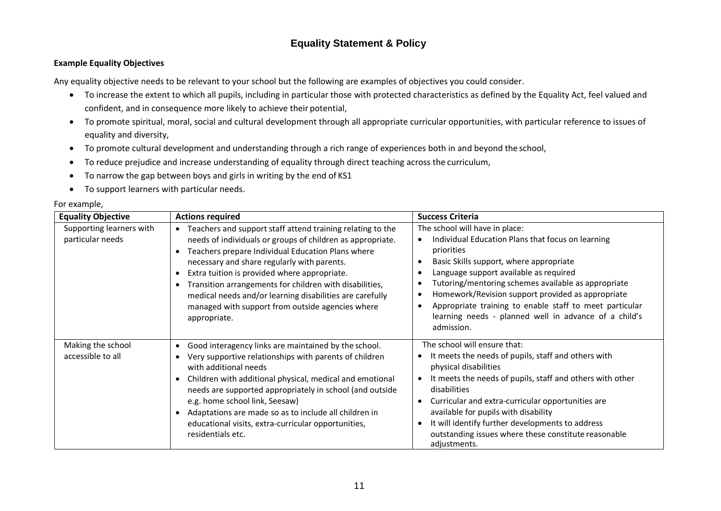## **Equality Statement & Policy**

#### **Example Equality Objectives**

Any equality objective needs to be relevant to your school but the following are examples of objectives you could consider.

- To increase the extent to which all pupils, including in particular those with protected characteristics as defined by the Equality Act, feel valued and confident, and in consequence more likely to achieve their potential,
- To promote spiritual, moral, social and cultural development through all appropriate curricular opportunities, with particular reference to issues of equality and diversity,
- To promote cultural development and understanding through a rich range of experiences both in and beyond the school,
- To reduce prejudice and increase understanding of equality through direct teaching across the curriculum,
- To narrow the gap between boys and girls in writing by the end of KS1
- To support learners with particular needs.

#### For example,

| <b>Equality Objective</b>                    | <b>Actions required</b>                                                                                                                                                                                                                                                                                                                                                                                                                                                                           | <b>Success Criteria</b>                                                                                                                                                                                                                                                                                                                                                                                                              |
|----------------------------------------------|---------------------------------------------------------------------------------------------------------------------------------------------------------------------------------------------------------------------------------------------------------------------------------------------------------------------------------------------------------------------------------------------------------------------------------------------------------------------------------------------------|--------------------------------------------------------------------------------------------------------------------------------------------------------------------------------------------------------------------------------------------------------------------------------------------------------------------------------------------------------------------------------------------------------------------------------------|
| Supporting learners with<br>particular needs | Teachers and support staff attend training relating to the<br>$\bullet$<br>needs of individuals or groups of children as appropriate.<br>Teachers prepare Individual Education Plans where<br>necessary and share regularly with parents.<br>Extra tuition is provided where appropriate.<br>$\bullet$<br>Transition arrangements for children with disabilities,<br>medical needs and/or learning disabilities are carefully<br>managed with support from outside agencies where<br>appropriate. | The school will have in place:<br>Individual Education Plans that focus on learning<br>priorities<br>Basic Skills support, where appropriate<br>Language support available as required<br>Tutoring/mentoring schemes available as appropriate<br>Homework/Revision support provided as appropriate<br>Appropriate training to enable staff to meet particular<br>learning needs - planned well in advance of a child's<br>admission. |
| Making the school<br>accessible to all       | Good interagency links are maintained by the school.<br>٠<br>Very supportive relationships with parents of children<br>with additional needs<br>Children with additional physical, medical and emotional<br>needs are supported appropriately in school (and outside<br>e.g. home school link, Seesaw)<br>Adaptations are made so as to include all children in<br>educational visits, extra-curricular opportunities,<br>residentials etc.                                                       | The school will ensure that:<br>It meets the needs of pupils, staff and others with<br>physical disabilities<br>It meets the needs of pupils, staff and others with other<br>disabilities<br>Curricular and extra-curricular opportunities are<br>$\bullet$<br>available for pupils with disability<br>It will identify further developments to address<br>outstanding issues where these constitute reasonable<br>adjustments.      |